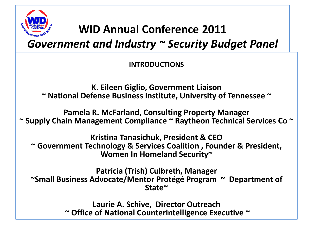

## **WID Annual Conference 2011**

*Government and Industry ~ Security Budget Panel* 

#### **INTRODUCTIONS**

**K. Eileen Giglio, Government Liaison ~ National Defense Business Institute, University of Tennessee ~**

**Pamela R. McFarland, Consulting Property Manager ~ Supply Chain Management Compliance ~ Raytheon Technical Services Co ~** 

**Kristina Tanasichuk, President & CEO ~ Government Technology & Services Coalition , Founder & President, Women In Homeland Security~**

**Patricia (Trish) Culbreth, Manager ~Small Business Advocate/Mentor Protégé Program ~ Department of State~**

> **Laurie A. Schive, Director Outreach ~ Office of National Counterintelligence Executive ~**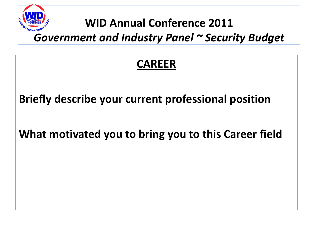

### **WID Annual Conference 2011**

*Government and Industry Panel ~ Security Budget*

### **CAREER**

**Briefly describe your current professional position**

**What motivated you to bring you to this Career field**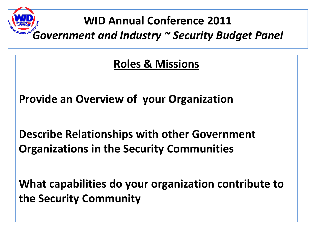# **WID Annual Conference 2011** *Government and Industry ~ Security Budget Panel*

#### **Roles & Missions**

**Provide an Overview of your Organization**

**Describe Relationships with other Government Organizations in the Security Communities**

**What capabilities do your organization contribute to the Security Community**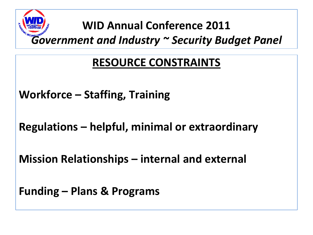# **WID Annual Conference 2011** *Government and Industry ~ Security Budget Panel*

## **RESOURCE CONSTRAINTS**

**Workforce – Staffing, Training**

**Regulations – helpful, minimal or extraordinary**

**Mission Relationships – internal and external**

**Funding – Plans & Programs**